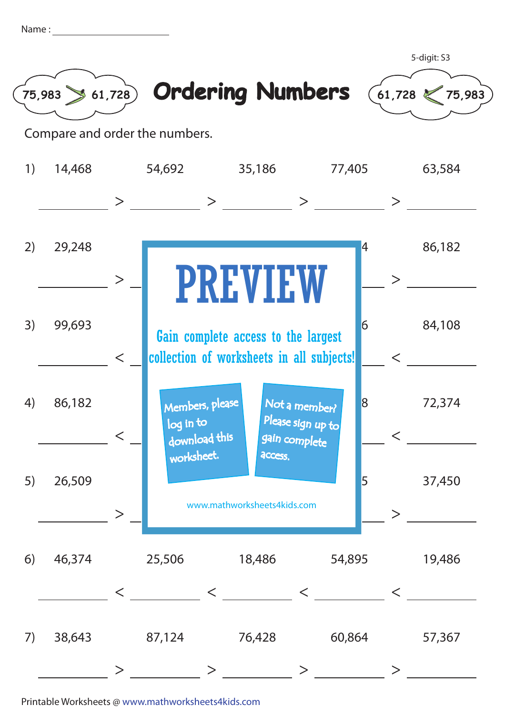| Name |  |
|------|--|
|      |  |
|      |  |



Compare and order the numbers.



Printable Worksheets @ www.mathworksheets4kids.com